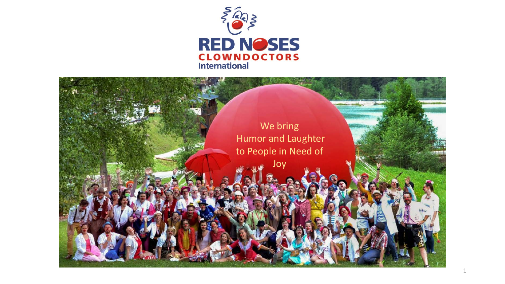

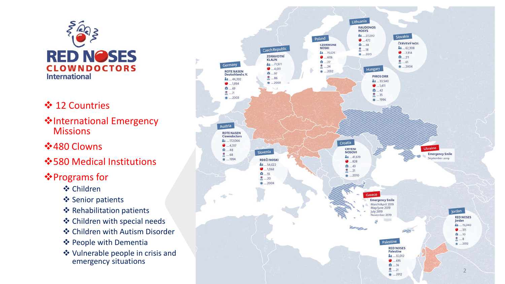

- **❖ 12 Countries**
- **V**International Emergency **Missions**
- **❖ 480 Clowns**
- $\dots$ **580 Medical Institutions**
- **<sup>❖</sup>Programs for** 
	- Children
	- ❖ Senior patients
	- ❖ Rehabilitation patients
	- Children with special needs
	- Children with Autism Disorder
	- ❖ People with Dementia
	- Vulnerable people in crisis and emergency situations

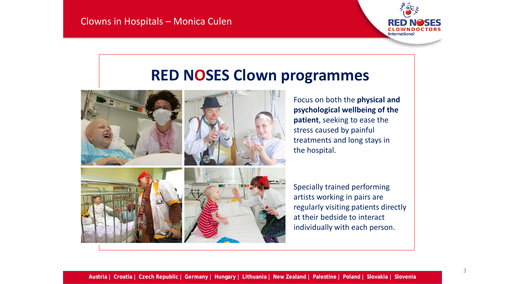

# **RED NOSES Clown programmes**





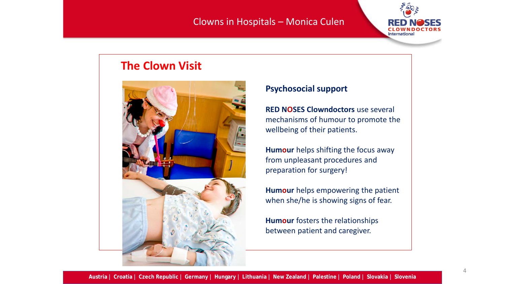#### Clowns in Hospitals – Monica Culen



# **The Clown Visit**



#### **Psychosocial support**

**RED NOSES Clowndoctors** use several mechanisms of humour to promote the wellbeing of their patients.

**Humour** helps shifting the focus away from unpleasant procedures and preparation for surgery!

**Humour** helps empowering the patient when she/he is showing signs of fear.

**Humour** fosters the relationships between patient and caregiver.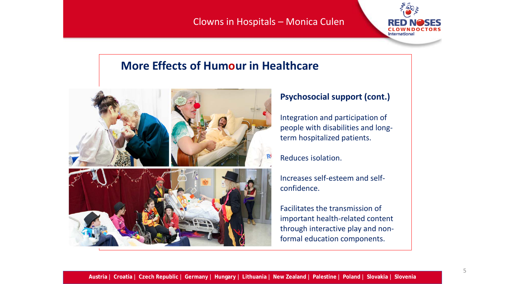#### Clowns in Hospitals – Monica Culen



# **More Effects of Humour in Healthcare**



#### **Psychosocial support (cont.)**

Integration and participation of people with disabilities and longterm hospitalized patients.

#### Reduces isolation.

Increases self-esteem and selfconfidence.

Facilitates the transmission of important health-related content through interactive play and nonformal education components.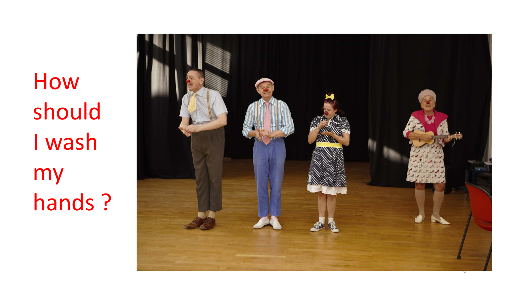How should I wash my hands ?

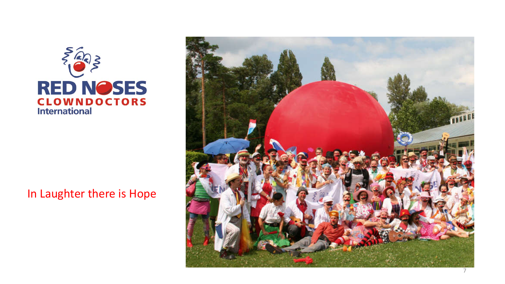

# In Laughter there is Hope